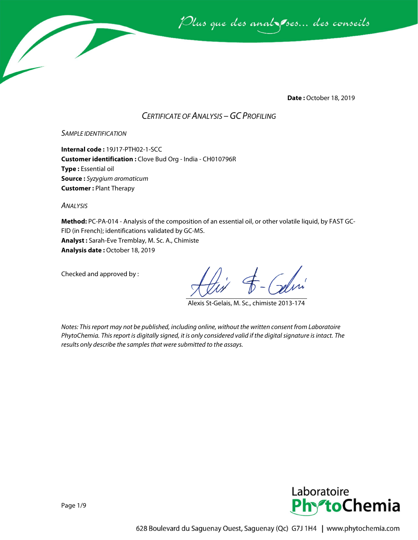

**Date :** October 18, 2019

# *CERTIFICATE OF ANALYSIS –GC PROFILING*

## *SAMPLE IDENTIFICATION*

**Internal code :** 19J17-PTH02-1-SCC **Customer identification :** Clove Bud Org - India - CH010796R **Type :** Essential oil **Source :** *Syzygium aromaticum* **Customer :** Plant Therapy

*ANALYSIS*

**Method:** PC-PA-014 - Analysis of the composition of an essential oil, or other volatile liquid, by FAST GC-FID (in French); identifications validated by GC-MS. **Analyst :** Sarah-Eve Tremblay, M. Sc. A., Chimiste **Analysis date :** October 18, 2019

Checked and approved by :

Alexis St-Gelais, M. Sc., chimiste 2013-174

*Notes: This report may not be published, including online, without the written consent from Laboratoire PhytoChemia. This report is digitally signed, it is only considered valid if the digital signature is intact. The results only describe the samples that were submitted to the assays.*

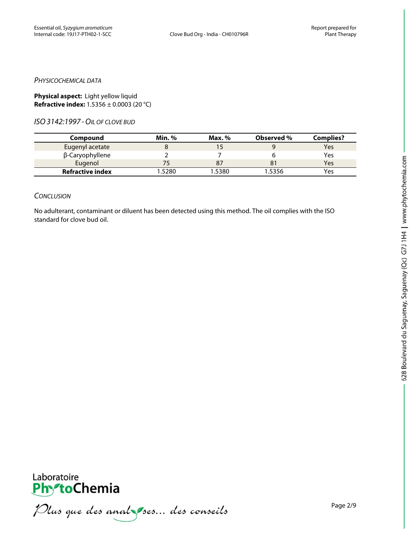#### *PHYSICOCHEMICAL DATA*

**Physical aspect:** Light yellow liquid **Refractive index:** 1.5356 ± 0.0003 (20 °C)

*ISO3142:1997 -OIL OF CLOVE BUD*

| Compound                | <b>Min.</b> % | Max. % | Observed % | <b>Complies?</b> |
|-------------------------|---------------|--------|------------|------------------|
| Eugenyl acetate         |               |        |            | Yes              |
| β-Caryophyllene         |               |        |            | Yes              |
| Eugenol                 |               |        |            | Yes              |
| <b>Refractive index</b> | 1.5280        | .5380  | 1.5356     | Yes              |

#### *CONCLUSION*

No adulterant, contaminant or diluent has been detected using this method. The oil complies with the ISO standard for clove bud oil.



PhytoChemia<br>PhytoChemia<br>*Plus que des analyses... des conseils*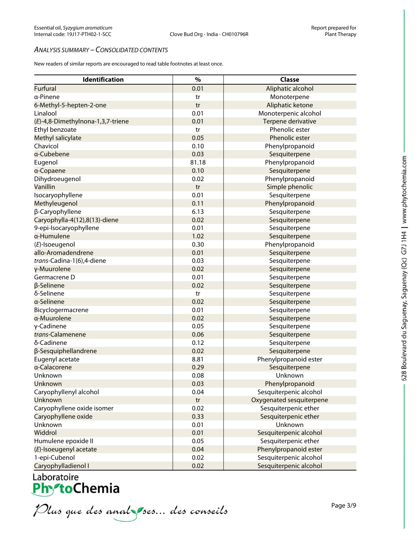#### *ANALYSIS SUMMARY – CONSOLIDATED CONTENTS*

New readers of similar reports are encouraged to read table footnotes at least once.

| Identification                    | $\%$  | <b>Classe</b>            |
|-----------------------------------|-------|--------------------------|
| <b>Furfural</b>                   | 0.01  | Aliphatic alcohol        |
| a-Pinene                          | tr    | Monoterpene              |
| 6-Methyl-5-hepten-2-one           | tr    | Aliphatic ketone         |
| Linalool                          | 0.01  | Monoterpenic alcohol     |
| (E)-4,8-Dimethylnona-1,3,7-triene | 0.01  | Terpene derivative       |
| Ethyl benzoate                    | tr    | Phenolic ester           |
| Methyl salicylate                 | 0.05  | Phenolic ester           |
| Chavicol                          | 0.10  | Phenylpropanoid          |
| a-Cubebene                        | 0.03  | Sesquiterpene            |
| Eugenol                           | 81.18 | Phenylpropanoid          |
| a-Copaene                         | 0.10  | Sesquiterpene            |
| Dihydroeugenol                    | 0.02  | Phenylpropanoid          |
| Vanillin                          | tr    | Simple phenolic          |
| Isocaryophyllene                  | 0.01  | Sesquiterpene            |
| Methyleugenol                     | 0.11  | Phenylpropanoid          |
| β-Caryophyllene                   | 6.13  | Sesquiterpene            |
| Caryophylla-4(12),8(13)-diene     | 0.02  | Sesquiterpene            |
| 9-epi-Isocaryophyllene            | 0.01  | Sesquiterpene            |
| α-Humulene                        | 1.02  | Sesquiterpene            |
| (E)-Isoeugenol                    | 0.30  | Phenylpropanoid          |
| allo-Aromadendrene                | 0.01  | Sesquiterpene            |
| trans-Cadina-1(6),4-diene         | 0.03  | Sesquiterpene            |
| γ-Muurolene                       | 0.02  | Sesquiterpene            |
| Germacrene D                      | 0.01  | Sesquiterpene            |
| β-Selinene                        | 0.02  | Sesquiterpene            |
| δ-Selinene                        | tr    | Sesquiterpene            |
| a-Selinene                        | 0.02  | Sesquiterpene            |
| Bicyclogermacrene                 | 0.01  | Sesquiterpene            |
| a-Muurolene                       | 0.02  | Sesquiterpene            |
| γ-Cadinene                        | 0.05  | Sesquiterpene            |
| trans-Calamenene                  | 0.06  | Sesquiterpene            |
| δ-Cadinene                        | 0.12  | Sesquiterpene            |
| β-Sesquiphellandrene              | 0.02  | Sesquiterpene            |
| Eugenyl acetate                   | 8.81  | Phenylpropanoid ester    |
| a-Calacorene                      | 0.29  | Sesquiterpene            |
| Unknown                           | 0.08  | Unknown                  |
| Unknown                           | 0.03  | Phenylpropanoid          |
| Caryophyllenyl alcohol            | 0.04  | Sesquiterpenic alcohol   |
| Unknown                           | tr    | Oxygenated sesquiterpene |
| Caryophyllene oxide isomer        | 0.02  | Sesquiterpenic ether     |
| Caryophyllene oxide               | 0.33  | Sesquiterpenic ether     |
| Unknown                           | 0.01  | Unknown                  |
| Widdrol                           | 0.01  | Sesquiterpenic alcohol   |
| Humulene epoxide II               | 0.05  | Sesquiterpenic ether     |
| (E)-Isoeugenyl acetate            | 0.04  | Phenylpropanoid ester    |
| 1-epi-Cubenol                     | 0.02  | Sesquiterpenic alcohol   |
| Carvophylladienol I               | 0.02  | Sesquiterpenic alcohol   |

Laboratoire<br>**PhytoChemia**<br>*Plus que des analyses... des conseils*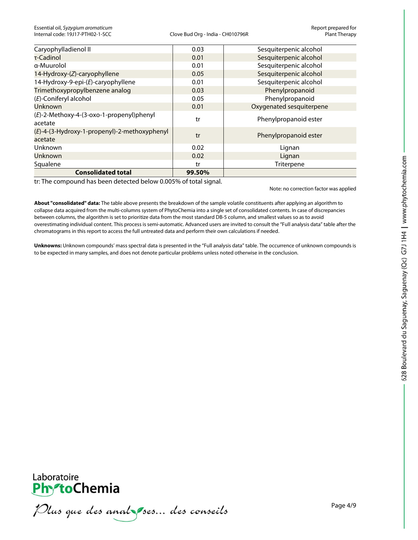| Caryophylladienol II                                    | 0.03   | Sesquiterpenic alcohol   |
|---------------------------------------------------------|--------|--------------------------|
| τ-Cadinol                                               | 0.01   | Sesquiterpenic alcohol   |
| a-Muurolol                                              | 0.01   | Sesquiterpenic alcohol   |
| 14-Hydroxy-(Z)-caryophyllene                            | 0.05   | Sesquiterpenic alcohol   |
| 14-Hydroxy-9-epi-(E)-caryophyllene                      | 0.01   | Sesquiterpenic alcohol   |
| Trimethoxypropylbenzene analog                          | 0.03   | Phenylpropanoid          |
| (E)-Coniferyl alcohol                                   | 0.05   | Phenylpropanoid          |
| <b>Unknown</b>                                          | 0.01   | Oxygenated sesquiterpene |
| (E)-2-Methoxy-4-(3-oxo-1-propenyl)phenyl<br>acetate     | tr     | Phenylpropanoid ester    |
| (E)-4-(3-Hydroxy-1-propenyl)-2-methoxyphenyl<br>acetate | tr     | Phenylpropanoid ester    |
| Unknown                                                 | 0.02   | Lignan                   |
| Unknown                                                 | 0.02   | Lignan                   |
| Squalene                                                | tr     | Triterpene               |
| <b>Consolidated total</b>                               | 99.50% |                          |

tr: The compound has been detected below 0.005% of total signal.

Note: no correction factor was applied

**About "consolidated" data:** The table above presents the breakdown of the sample volatile constituents after applying an algorithm to collapse data acquired from the multi-columns system of PhytoChemia into a single set of consolidated contents. In case of discrepancies between columns, the algorithm is set to prioritize data from the most standard DB-5 column, and smallest values so as to avoid overestimating individual content. This process is semi-automatic. Advanced users are invited to consult the "Full analysis data" table after the chromatograms in this report to access the full untreated data and perform their own calculations if needed.

**Unknowns:** Unknown compounds' mass spectral data is presented in the "Full analysis data" table. The occurrence of unknown compounds is to be expected in many samples, and does not denote particular problems unless noted otherwise in the conclusion.



Plus que des analzes... des conseils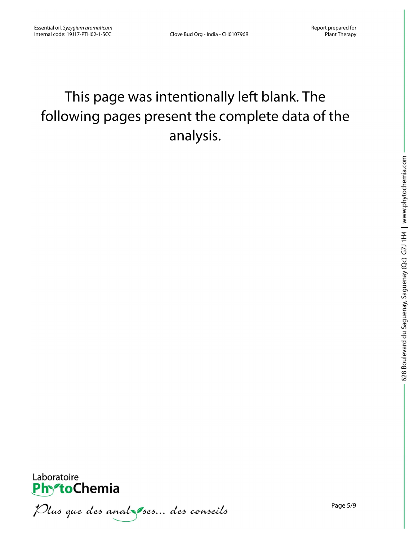# This page was intentionally left blank. The following pages present the complete data of the analysis.



Plus que des anal ses... des conseils

Page 5/9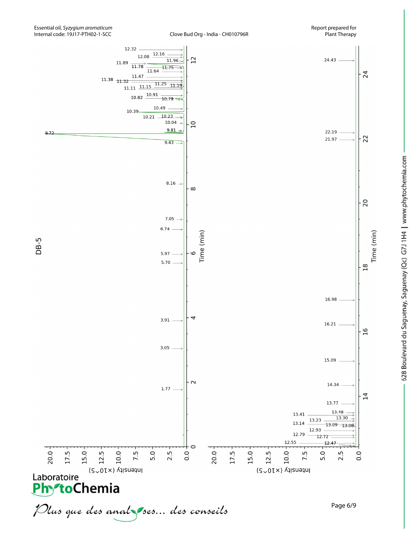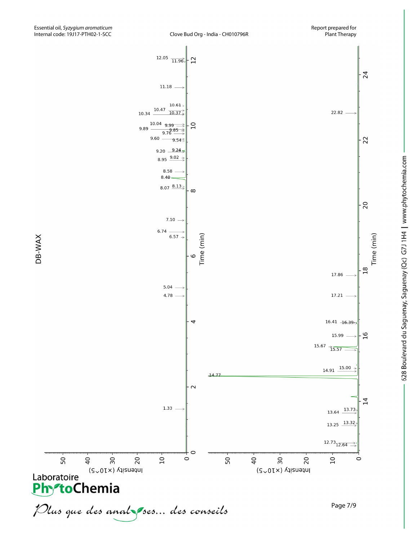

Time (min)



DB-WAX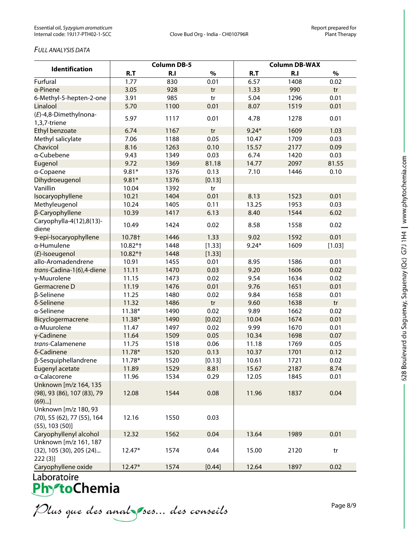### *FULL ANALYSIS DATA*

|                                   | <b>Column DB-5</b> |      |        | <b>Column DB-WAX</b> |      |        |  |
|-----------------------------------|--------------------|------|--------|----------------------|------|--------|--|
| <b>Identification</b>             | R.T                | R.I  | $\%$   | R.T                  | R.I  | $\%$   |  |
| Furfural                          | 1.77               | 830  | 0.01   | 6.57                 | 1408 | 0.02   |  |
| a-Pinene                          | 3.05               | 928  | tr     | 1.33                 | 990  | tr     |  |
| 6-Methyl-5-hepten-2-one           | 3.91               | 985  | tr     | 5.04                 | 1296 | 0.01   |  |
| Linalool                          | 5.70               | 1100 | 0.01   | 8.07                 | 1519 | 0.01   |  |
| (E)-4,8-Dimethylnona-             | 5.97               | 1117 | 0.01   | 4.78                 | 1278 | 0.01   |  |
| 1,3,7-triene                      |                    |      |        |                      |      |        |  |
| Ethyl benzoate                    | 6.74               | 1167 | tr     | $9.24*$              | 1609 | 1.03   |  |
| Methyl salicylate                 | 7.06               | 1188 | 0.05   | 10.47                | 1709 | 0.03   |  |
| Chavicol                          | 8.16               | 1263 | 0.10   | 15.57                | 2177 | 0.09   |  |
| a-Cubebene                        | 9.43               | 1349 | 0.03   | 6.74                 | 1420 | 0.03   |  |
| Eugenol                           | 9.72               | 1369 | 81.18  | 14.77                | 2097 | 81.55  |  |
| a-Copaene                         | $9.81*$            | 1376 | 0.13   | 7.10                 | 1446 | 0.10   |  |
| Dihydroeugenol                    | $9.81*$            | 1376 | [0.13] |                      |      |        |  |
| Vanillin                          | 10.04              | 1392 | tr     |                      |      |        |  |
| Isocaryophyllene                  | 10.21              | 1404 | 0.01   | 8.13                 | 1523 | 0.01   |  |
| Methyleugenol                     | 10.24              | 1405 | 0.11   | 13.25                | 1953 | 0.03   |  |
| β-Caryophyllene                   | 10.39              | 1417 | 6.13   | 8.40                 | 1544 | 6.02   |  |
| Caryophylla-4(12),8(13)-<br>diene | 10.49              | 1424 | 0.02   | 8.58                 | 1558 | 0.02   |  |
| 9-epi-Isocaryophyllene            | 10.78†             | 1446 | 1.33   | 9.02                 | 1592 | 0.01   |  |
| a-Humulene                        | 10.82*+            | 1448 | [1.33] | $9.24*$              | 1609 | [1.03] |  |
| (E)-Isoeugenol                    | 10.82*+            | 1448 | [1.33] |                      |      |        |  |
| allo-Aromadendrene                | 10.91              | 1455 | 0.01   | 8.95                 | 1586 | 0.01   |  |
| trans-Cadina-1(6),4-diene         | 11.11              | 1470 | 0.03   | 9.20                 | 1606 | 0.02   |  |
| γ-Muurolene                       | 11.15              | 1473 | 0.02   | 9.54                 | 1634 | 0.02   |  |
| Germacrene D                      | 11.19              | 1476 | 0.01   | 9.76                 | 1651 | 0.01   |  |
| β-Selinene                        | 11.25              | 1480 | 0.02   | 9.84                 | 1658 | 0.01   |  |
| δ-Selinene                        | 11.32              | 1486 | tr     | 9.60                 | 1638 | tr     |  |
| a-Selinene                        | $11.38*$           | 1490 | 0.02   | 9.89                 | 1662 | 0.02   |  |
| Bicyclogermacrene                 | 11.38*             | 1490 | [0.02] | 10.04                | 1674 | 0.01   |  |
| a-Muurolene                       | 11.47              | 1497 | 0.02   | 9.99                 | 1670 | 0.01   |  |
| γ-Cadinene                        | 11.64              | 1509 | 0.05   | 10.34                | 1698 | 0.07   |  |
| trans-Calamenene                  | 11.75              | 1518 | 0.06   | 11.18                | 1769 | 0.05   |  |
| δ-Cadinene                        | $11.78*$           | 1520 | 0.13   | 10.37                | 1701 | 0.12   |  |
| β-Sesquiphellandrene              | $11.78*$           | 1520 | [0.13] | 10.61                | 1721 | 0.02   |  |
| Eugenyl acetate                   | 11.89              | 1529 | 8.81   | 15.67                | 2187 | 8.74   |  |
| a-Calacorene                      | 11.96              | 1534 | 0.29   | 12.05                | 1845 | 0.01   |  |
| Unknown [m/z 164, 135             |                    |      |        |                      |      |        |  |
| (98), 93 (86), 107 (83), 79       | 12.08              | 1544 | 0.08   | 11.96                | 1837 | 0.04   |  |
| (69)                              |                    |      |        |                      |      |        |  |
| Unknown [m/z 180, 93              |                    |      |        |                      |      |        |  |
| (70), 55 (62), 77 (55), 164       | 12.16              | 1550 | 0.03   |                      |      |        |  |
| $(55)$ , 103 $(50)$ ]             |                    |      |        |                      |      |        |  |
| Caryophyllenyl alcohol            | 12.32              | 1562 | 0.04   | 13.64                | 1989 | 0.01   |  |
| Unknown [m/z 161, 187             |                    |      |        |                      |      |        |  |
| (32), 105 (30), 205 (24)          | $12.47*$           | 1574 | 0.44   | 15.00                | 2120 | tr     |  |
| 222(3)                            |                    |      |        |                      |      |        |  |
| Caryophyllene oxide               | $12.47*$           | 1574 | [0.44] | 12.64                | 1897 | 0.02   |  |

Plus que des analzes... des conseils

628 Boulevard du Saguenay, Saguenay (Qc) G7J 1H4 | www.phytochemia.com